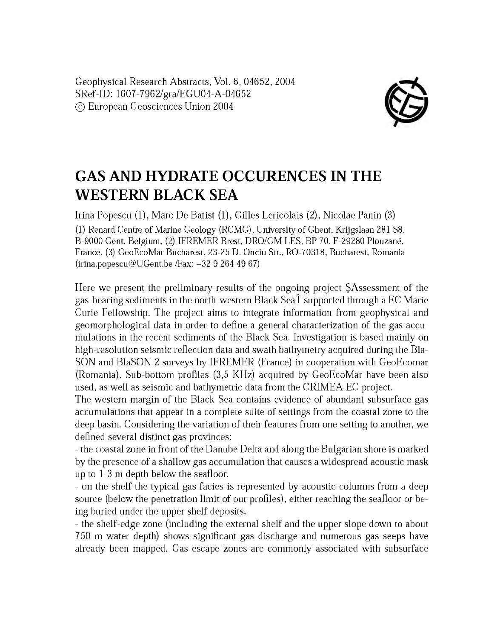Geophysical Research Abstracts, Vol. 6, 04652, 2004 SRef-ID: 1607-7962/gra/EGU04-A-04652 © European Geosciences Union 2004



## **GAS AND HYDRATE OCCURENCES IN THE WESTERN BLACK SEA**

Irina Popescu (1), Marc De Batist (1), Gilles Lericolais (2), Nicolae Panin (3) (1) Renard Centre of Marine Geology (RCMG), University of Ghent, Krijgslaan 281 S8, B-9000 Gent, Belgium, (2) IFREMER Brest, DRO/GM LES, BP 70, F-29280 Plouzané, France, (3) GeoEcoMar Bucharest, 23-25 D. Onciu Str., RO-70318, Bucharest, Romania [\(irina.popescu@UGent.be](mailto:irina.popescu@UGent.be) /Fax: +32 9 264 49 67)

Here we present the preliminary results of the ongoing project SAssessment of the gas-bearing sediments in the north-western Black SeaT supported through a EC Marie Curie Fellowship. The project aims to integrate information from geophysical and geom orphological data in order to define a general characterization of the gas accumulations in the recent sediments of the Black Sea. Investigation is based mainly on high-resolution seismic reflection data and swath bathymetry acquired during the Bla-SON and BlaSON 2 surveys by IFREMER (France) in cooperation with GeoEcomar (Romania). Sub-bottom profiles (3,5 KHz) acquired by GeoEcoMar have been also used, as well as seismic and bathymetric data from the CRIMEA EC project.

The western margin of the Black Sea contains evidence of abundant subsurface gas accumulations that appear in a complete suite of settings from the coastal zone to the deep basin. Considering the variation of their features from one setting to another, we defined several distinct gas provinces:

- the coastal zone in front of the Danube Delta and along the Bulgarian shore is marked by the presence of a shallow gas accum ulation that causes a w idespread acoustic mask up to 1-3 m depth below the seafloor.

- on the shelf the typical gas facies is represented by acoustic columns from a deep source (below the penetration limit of our profiles), either reaching the seafloor or being buried under the upper shelf deposits.

- the shelf-edge zone (including the external shelf and the upper slope down to about 750 m water depth) shows significant gas discharge and numerous gas seeps have already been mapped. Gas escape zones are commonly associated with subsurface